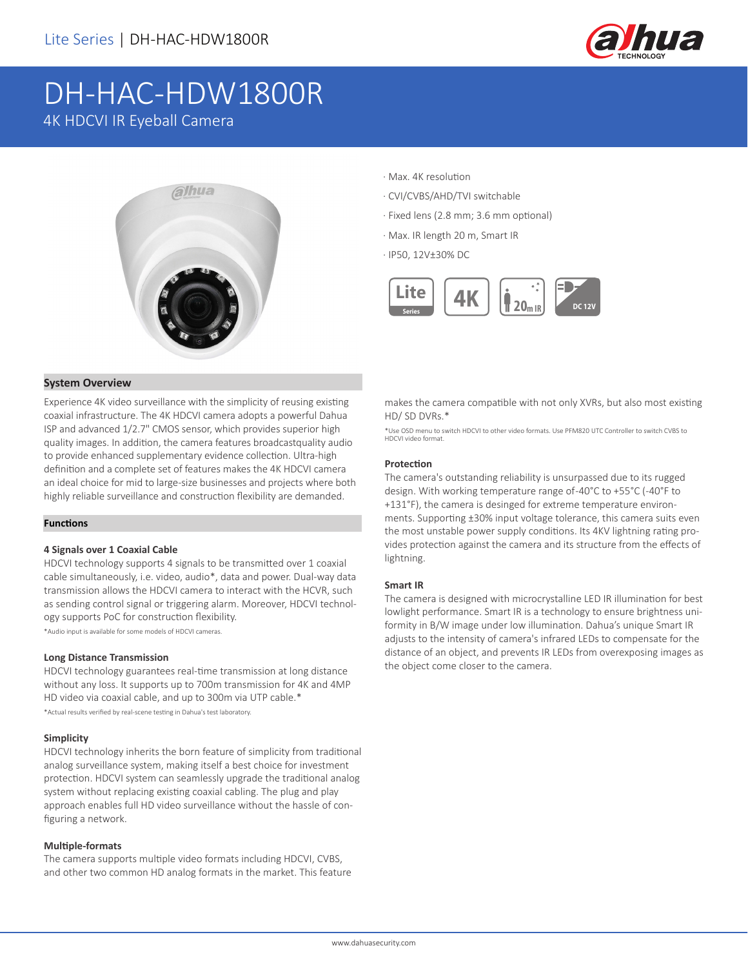

# DH-HAC-HDW1800R 4K HDCVI IR Eyeball Camera



- · Max. 4K resolution
- · CVI/CVBS/AHD/TVI switchable
- · Fixed lens (2.8 mm; 3.6 mm optional)
- · Max. IR length 20 m, Smart IR
- · IP50, 12V±30% DC



#### **System Overview**

Experience 4K video surveillance with the simplicity of reusing existing coaxial infrastructure. The 4K HDCVI camera adopts a powerful Dahua ISP and advanced 1/2.7" CMOS sensor, which provides superior high quality images. In addition, the camera features broadcastquality audio to provide enhanced supplementary evidence collection. Ultra-high definition and a complete set of features makes the 4K HDCVI camera an ideal choice for mid to large-size businesses and projects where both highly reliable surveillance and construction flexibility are demanded.

#### **Functions**

#### **4 Signals over 1 Coaxial Cable**

HDCVI technology supports 4 signals to be transmitted over 1 coaxial cable simultaneously, i.e. video, audio\*, data and power. Dual-way data transmission allows the HDCVI camera to interact with the HCVR, such as sending control signal or triggering alarm. Moreover, HDCVI technology supports PoC for construction flexibility.

\*Audio input is available for some models of HDCVI cameras.

#### **Long Distance Transmission**

HDCVI technology guarantees real-time transmission at long distance without any loss. It supports up to 700m transmission for 4K and 4MP HD video via coaxial cable, and up to 300m via UTP cable.\* \*Actual results verified by real-scene testing in Dahua's test laboratory.

#### **Simplicity**

HDCVI technology inherits the born feature of simplicity from traditional analog surveillance system, making itself a best choice for investment protection. HDCVI system can seamlessly upgrade the traditional analog system without replacing existing coaxial cabling. The plug and play approach enables full HD video surveillance without the hassle of configuring a network.

#### **Multiple-formats**

The camera supports multiple video formats including HDCVI, CVBS, and other two common HD analog formats in the market. This feature makes the camera compatible with not only XVRs, but also most existing HD/ SD DVRs.\*

\*Use OSD menu to switch HDCVI to other video formats. Use PFM820 UTC Controller to switch CVBS to HDCVI video forma

#### **Protection**

The camera's outstanding reliability is unsurpassed due to its rugged design. With working temperature range of -40°C to +55°C (-40°F to +131°F), the camera is desinged for extreme temperature environments. Supporting ±30% input voltage tolerance, this camera suits even the most unstable power supply conditions. Its 4KV lightning rating provides protection against the camera and its structure from the effects of lightning.

#### **Smart IR**

The camera is designed with microcrystalline LED IR illumination for best lowlight performance. Smart IR is a technology to ensure brightness uniformity in B/W image under low illumination. Dahua's unique Smart IR adjusts to the intensity of camera's infrared LEDs to compensate for the distance of an object, and prevents IR LEDs from overexposing images as the object come closer to the camera.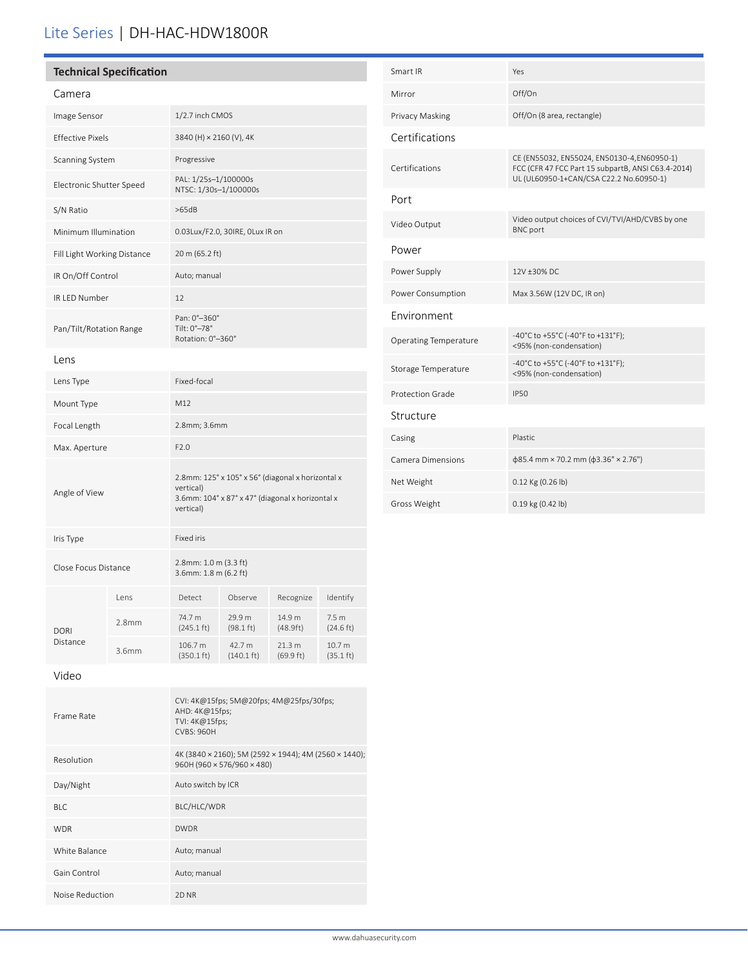## Lite Series | DH-HAC-HDW1800R

| <b>Technical Specification</b> |       |                                                                                                                                 |                                |                               |                               |  |
|--------------------------------|-------|---------------------------------------------------------------------------------------------------------------------------------|--------------------------------|-------------------------------|-------------------------------|--|
| Camera                         |       |                                                                                                                                 |                                |                               |                               |  |
| Image Sensor                   |       | 1/2.7 inch CMOS                                                                                                                 |                                |                               |                               |  |
| <b>Effective Pixels</b>        |       | 3840 (H) × 2160 (V), 4K                                                                                                         |                                |                               |                               |  |
| Scanning System                |       | Progressive                                                                                                                     |                                |                               |                               |  |
| Electronic Shutter Speed       |       | PAL: 1/25s-1/100000s<br>NTSC: 1/30s-1/100000s                                                                                   |                                |                               |                               |  |
| S/N Ratio                      |       | >65dB                                                                                                                           |                                |                               |                               |  |
| Minimum Illumination           |       | 0.03Lux/F2.0, 30IRE, OLux IR on                                                                                                 |                                |                               |                               |  |
| Fill Light Working Distance    |       | 20 m (65.2 ft)                                                                                                                  |                                |                               |                               |  |
| IR On/Off Control              |       | Auto; manual                                                                                                                    |                                |                               |                               |  |
| IR LED Number                  |       | 12                                                                                                                              |                                |                               |                               |  |
| Pan/Tilt/Rotation Range        |       | Pan: 0°-360°<br>Tilt: 0°-78°<br>Rotation: 0°-360°                                                                               |                                |                               |                               |  |
| Lens                           |       |                                                                                                                                 |                                |                               |                               |  |
| Lens Type                      |       | Fixed-focal                                                                                                                     |                                |                               |                               |  |
| Mount Type                     |       | M12                                                                                                                             |                                |                               |                               |  |
| Focal Length                   |       | 2.8mm; 3.6mm                                                                                                                    |                                |                               |                               |  |
| Max. Aperture                  |       | F2.0                                                                                                                            |                                |                               |                               |  |
| Angle of View                  |       | 2.8mm: 125° x 105° x 56° (diagonal x horizontal x<br>vertical)<br>3.6mm: 104° x 87° x 47° (diagonal x horizontal x<br>vertical) |                                |                               |                               |  |
| Iris Type                      |       | Fixed iris                                                                                                                      |                                |                               |                               |  |
| Close Focus Distance           |       | 2.8mm: 1.0 m (3.3 ft)<br>3.6mm: 1.8 m (6.2 ft)                                                                                  |                                |                               |                               |  |
| <b>DORI</b><br>Distance        | Lens  | Detect                                                                                                                          | Observe                        | Recognize                     | Identify                      |  |
|                                | 2.8mm | 74.7 m<br>$(245.1 \text{ ft})$                                                                                                  | 29.9 m<br>$(98.1 \text{ ft})$  | 14.9 m<br>(48.9ft)            | 7.5 <sub>m</sub><br>(24.6 ft) |  |
|                                | 3.6mm | 106.7 m<br>$(350.1 \text{ ft})$                                                                                                 | 42.7 m<br>$(140.1 \text{ ft})$ | 21.3 m<br>$(69.9 \text{ ft})$ | 10.7 m<br>$(35.1 \text{ ft})$ |  |
| Video                          |       |                                                                                                                                 |                                |                               |                               |  |
|                                |       | CVI: 4K@15fps; 5M@20fps; 4M@25fps/30fps;<br>AHD: 4K@15fps;                                                                      |                                |                               |                               |  |

| Smart IR                     | Yes                                                                                                                                          |  |  |  |
|------------------------------|----------------------------------------------------------------------------------------------------------------------------------------------|--|--|--|
| Mirror                       | Off/On                                                                                                                                       |  |  |  |
| Privacy Masking              | Off/On (8 area, rectangle)                                                                                                                   |  |  |  |
| Certifications               |                                                                                                                                              |  |  |  |
| Certifications               | CE (EN55032, EN55024, EN50130-4, EN60950-1)<br>FCC (CFR 47 FCC Part 15 subpartB, ANSI C63.4-2014)<br>UL (UL60950-1+CAN/CSA C22.2 No.60950-1) |  |  |  |
| Port                         |                                                                                                                                              |  |  |  |
| Video Output                 | Video output choices of CVI/TVI/AHD/CVBS by one<br><b>BNC</b> port                                                                           |  |  |  |
| Power                        |                                                                                                                                              |  |  |  |
| Power Supply                 | 12V ±30% DC                                                                                                                                  |  |  |  |
| Power Consumption            | Max 3.56W (12V DC, IR on)                                                                                                                    |  |  |  |
| Environment                  |                                                                                                                                              |  |  |  |
| <b>Operating Temperature</b> | -40°C to +55°C (-40°F to +131°F);<br><95% (non-condensation)                                                                                 |  |  |  |
| Storage Temperature          | -40°C to +55°C (-40°F to +131°F);<br><95% (non-condensation)                                                                                 |  |  |  |
| <b>Protection Grade</b>      | <b>IP50</b>                                                                                                                                  |  |  |  |
| Structure                    |                                                                                                                                              |  |  |  |
| Casing                       | <b>Plastic</b>                                                                                                                               |  |  |  |
| Camera Dimensions            | $\phi$ 85.4 mm × 70.2 mm ( $\phi$ 3.36" × 2.76")                                                                                             |  |  |  |
| Net Weight                   | 0.12 Kg (0.26 lb)                                                                                                                            |  |  |  |
| Gross Weight                 | 0.19 kg (0.42 lb)                                                                                                                            |  |  |  |

| Frame Rate      | CVI: 4K@15fps; 5M@20fps; 4M@25fps/30fps;<br>AHD: 4K@15fps;<br>TVI: 4K@15fps;<br><b>CVBS: 960H</b> |
|-----------------|---------------------------------------------------------------------------------------------------|
| Resolution      | 4K (3840 × 2160); 5M (2592 × 1944); 4M (2560 × 1440);<br>960H (960 × 576/960 × 480)               |
| Day/Night       | Auto switch by ICR                                                                                |
| BI C            | BLC/HLC/WDR                                                                                       |
| <b>WDR</b>      | <b>DWDR</b>                                                                                       |
| White Balance   | Auto; manual                                                                                      |
| Gain Control    | Auto; manual                                                                                      |
| Noise Reduction | 2D NR                                                                                             |